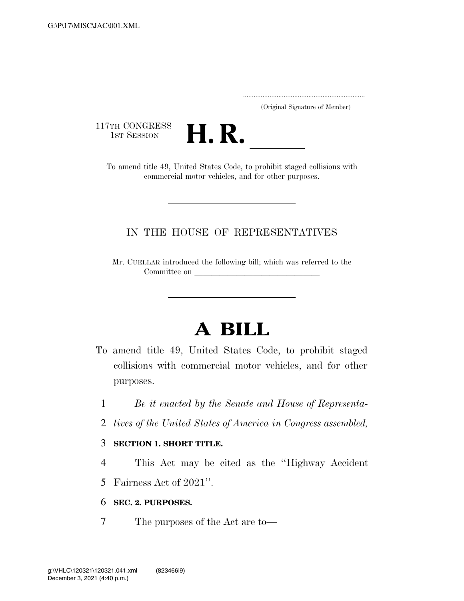.....................................................................

(Original Signature of Member)

117TH CONGRESS<br>1st Session



TH CONGRESS<br>
1ST SESSION<br>
To amend title 49, United States Code, to prohibit staged collisions with commercial motor vehicles, and for other purposes.

### IN THE HOUSE OF REPRESENTATIVES

Mr. CUELLAR introduced the following bill; which was referred to the Committee on leads on later was a set of the contract of the contract of the contract of the contract of the contract of the contract of the contract of the contract of the contract of the contract of the contract of the c

# **A BILL**

- To amend title 49, United States Code, to prohibit staged collisions with commercial motor vehicles, and for other purposes.
	- 1 *Be it enacted by the Senate and House of Representa-*
	- 2 *tives of the United States of America in Congress assembled,*

#### 3 **SECTION 1. SHORT TITLE.**

- 4 This Act may be cited as the ''Highway Accident
- 5 Fairness Act of 2021''.

#### 6 **SEC. 2. PURPOSES.**

7 The purposes of the Act are to—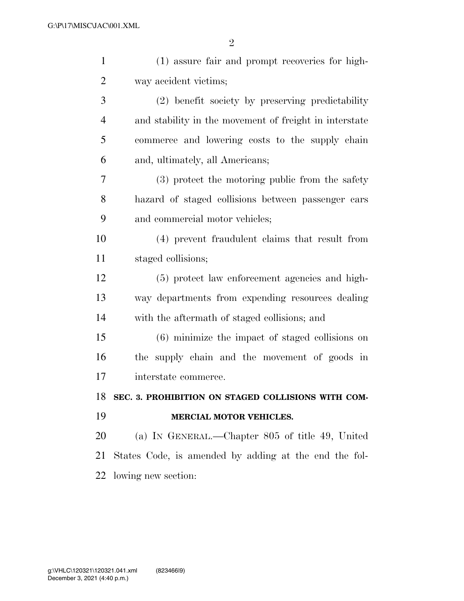| $\mathbf{1}$   | (1) assure fair and prompt recoveries for high-        |
|----------------|--------------------------------------------------------|
| $\overline{2}$ | way accident victims;                                  |
| 3              | (2) benefit society by preserving predictability       |
| $\overline{4}$ | and stability in the movement of freight in interstate |
| 5              | commerce and lowering costs to the supply chain        |
| 6              | and, ultimately, all Americans;                        |
| 7              | (3) protect the motoring public from the safety        |
| 8              | hazard of staged collisions between passenger cars     |
| 9              | and commercial motor vehicles;                         |
| 10             | (4) prevent fraudulent claims that result from         |
| 11             | staged collisions;                                     |
| 12             | (5) protect law enforcement agencies and high-         |
| 13             | way departments from expending resources dealing       |
| 14             | with the aftermath of staged collisions; and           |
| 15             | (6) minimize the impact of staged collisions on        |
| 16             | the supply chain and the movement of goods in          |
| 17             | interstate commerce.                                   |
| 18             | SEC. 3. PROHIBITION ON STAGED COLLISIONS WITH COM-     |
| 19             | MERCIAL MOTOR VEHICLES.                                |
| 20             | (a) IN GENERAL.—Chapter 805 of title 49, United        |
| 21             | States Code, is amended by adding at the end the fol-  |
| 22             | lowing new section:                                    |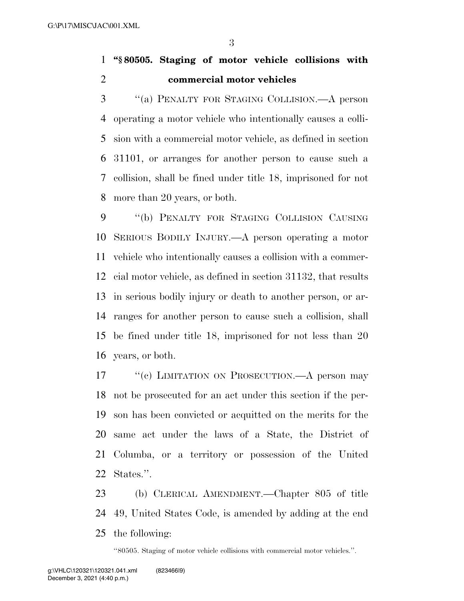### **''§ 80505. Staging of motor vehicle collisions with commercial motor vehicles**

 ''(a) PENALTY FOR STAGING COLLISION.—A person operating a motor vehicle who intentionally causes a colli- sion with a commercial motor vehicle, as defined in section 31101, or arranges for another person to cause such a collision, shall be fined under title 18, imprisoned for not more than 20 years, or both.

 ''(b) PENALTY FOR STAGING COLLISION CAUSING SERIOUS BODILY INJURY.—A person operating a motor vehicle who intentionally causes a collision with a commer- cial motor vehicle, as defined in section 31132, that results in serious bodily injury or death to another person, or ar- ranges for another person to cause such a collision, shall be fined under title 18, imprisoned for not less than 20 years, or both.

17 ""(c) LIMITATION ON PROSECUTION.—A person may not be prosecuted for an act under this section if the per- son has been convicted or acquitted on the merits for the same act under the laws of a State, the District of Columba, or a territory or possession of the United States.''.

 (b) CLERICAL AMENDMENT.—Chapter 805 of title 49, United States Code, is amended by adding at the end the following:

''80505. Staging of motor vehicle collisions with commercial motor vehicles.''.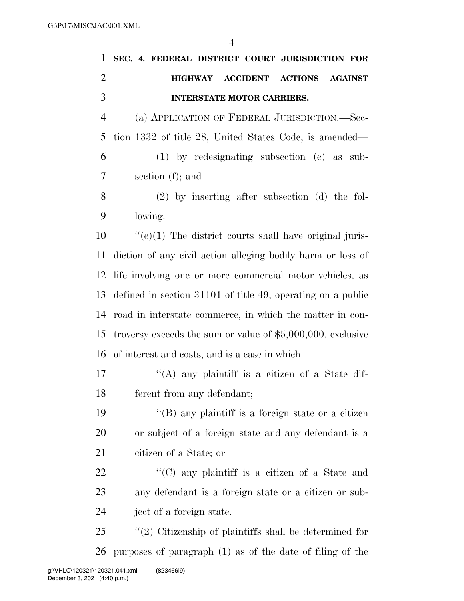|                | $\overline{4}$                                                        |
|----------------|-----------------------------------------------------------------------|
| $\mathbf{1}$   | SEC. 4. FEDERAL DISTRICT COURT JURISDICTION FOR                       |
| $\overline{2}$ | <b>ACCIDENT</b><br><b>ACTIONS</b><br><b>HIGHWAY</b><br><b>AGAINST</b> |
| 3              | <b>INTERSTATE MOTOR CARRIERS.</b>                                     |
| $\overline{4}$ | (a) APPLICATION OF FEDERAL JURISDICTION.—Sec-                         |
| 5              | tion 1332 of title 28, United States Code, is amended—                |
| 6              | $(1)$ by redesignating subsection $(e)$ as sub-                       |
| 7              | section $(f)$ ; and                                                   |
| 8              | $(2)$ by inserting after subsection (d) the fol-                      |
| 9              | lowing:                                                               |
| 10             | $\cdot\cdot$ (e)(1) The district courts shall have original juris-    |
| 11             | diction of any civil action alleging bodily harm or loss of           |
| 12             | life involving one or more commercial motor vehicles, as              |
| 13             | defined in section 31101 of title 49, operating on a public           |
| 14             | road in interstate commerce, in which the matter in con-              |
| 15             | troversy exceeds the sum or value of $$5,000,000$ , exclusive         |
| 16             | of interest and costs, and is a case in which—                        |
| 17             | "(A) any plaintiff is a citizen of a State dif-                       |

- ferent from any defendant;
- 19  $"$ (B) any plaintiff is a foreign state or a citizen or subject of a foreign state and any defendant is a citizen of a State; or
- 22  $\langle ^{\prime}(C)$  any plaintiff is a citizen of a State and any defendant is a foreign state or a citizen or sub-ject of a foreign state.
- ''(2) Citizenship of plaintiffs shall be determined for purposes of paragraph (1) as of the date of filing of the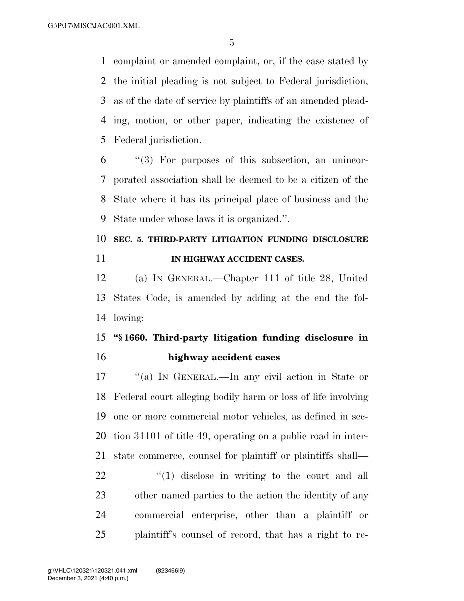complaint or amended complaint, or, if the case stated by the initial pleading is not subject to Federal jurisdiction, as of the date of service by plaintiffs of an amended plead- ing, motion, or other paper, indicating the existence of Federal jurisdiction.

 "(3) For purposes of this subsection, an unincor- porated association shall be deemed to be a citizen of the State where it has its principal place of business and the State under whose laws it is organized.''.

## **SEC. 5. THIRD-PARTY LITIGATION FUNDING DISCLOSURE IN HIGHWAY ACCIDENT CASES.**

 (a) IN GENERAL.—Chapter 111 of title 28, United States Code, is amended by adding at the end the fol-lowing:

### **''§ 1660. Third-party litigation funding disclosure in highway accident cases**

 ''(a) IN GENERAL.—In any civil action in State or Federal court alleging bodily harm or loss of life involving one or more commercial motor vehicles, as defined in sec- tion 31101 of title 49, operating on a public road in inter-state commerce, counsel for plaintiff or plaintiffs shall—

 $\frac{1}{2}$   $\frac{1}{2}$  disclose in writing to the court and all other named parties to the action the identity of any commercial enterprise, other than a plaintiff or plaintiff's counsel of record, that has a right to re-